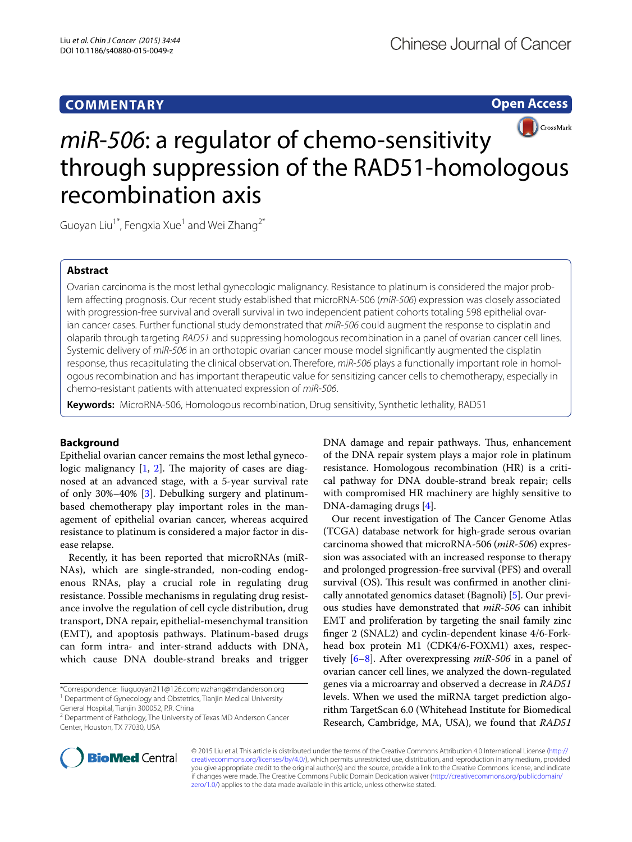## **COMMENTARY**

**Open Access**



# *miR*-*506*: a regulator of chemo-sensitivity through suppression of the RAD51-homologous recombination axis

Guoyan Liu<sup>1\*</sup>, Fengxia Xue<sup>1</sup> and Wei Zhang<sup>2\*</sup>

## **Abstract**

Ovarian carcinoma is the most lethal gynecologic malignancy. Resistance to platinum is considered the major problem affecting prognosis. Our recent study established that microRNA-506 (*miR*-*506*) expression was closely associated with progression-free survival and overall survival in two independent patient cohorts totaling 598 epithelial ovarian cancer cases. Further functional study demonstrated that *miR*-*506* could augment the response to cisplatin and olaparib through targeting *RAD51* and suppressing homologous recombination in a panel of ovarian cancer cell lines. Systemic delivery of *miR*-*506* in an orthotopic ovarian cancer mouse model significantly augmented the cisplatin response, thus recapitulating the clinical observation. Therefore, *miR*-*506* plays a functionally important role in homologous recombination and has important therapeutic value for sensitizing cancer cells to chemotherapy, especially in chemo-resistant patients with attenuated expression of *miR*-*506*.

**Keywords:** MicroRNA-506, Homologous recombination, Drug sensitivity, Synthetic lethality, RAD51

### **Background**

Epithelial ovarian cancer remains the most lethal gynecologic malignancy  $[1, 2]$  $[1, 2]$  $[1, 2]$  $[1, 2]$ . The majority of cases are diagnosed at an advanced stage, with a 5-year survival rate of only 30%–40% [\[3](#page-2-2)]. Debulking surgery and platinumbased chemotherapy play important roles in the management of epithelial ovarian cancer, whereas acquired resistance to platinum is considered a major factor in disease relapse.

Recently, it has been reported that microRNAs (miR-NAs), which are single-stranded, non-coding endogenous RNAs, play a crucial role in regulating drug resistance. Possible mechanisms in regulating drug resistance involve the regulation of cell cycle distribution, drug transport, DNA repair, epithelial-mesenchymal transition (EMT), and apoptosis pathways. Platinum-based drugs can form intra- and inter-strand adducts with DNA, which cause DNA double-strand breaks and trigger

\*Correspondence: liuguoyan211@126.com; wzhang@mdanderson.org <sup>1</sup> Department of Gynecology and Obstetrics, Tianjin Medical University

DNA damage and repair pathways. Thus, enhancement of the DNA repair system plays a major role in platinum resistance. Homologous recombination (HR) is a critical pathway for DNA double-strand break repair; cells with compromised HR machinery are highly sensitive to DNA-damaging drugs [[4\]](#page-2-3).

Our recent investigation of The Cancer Genome Atlas (TCGA) database network for high-grade serous ovarian carcinoma showed that microRNA-506 (*miR*-*506*) expression was associated with an increased response to therapy and prolonged progression-free survival (PFS) and overall survival (OS). This result was confirmed in another clinically annotated genomics dataset (Bagnoli) [[5\]](#page-2-4). Our previous studies have demonstrated that *miR*-*506* can inhibit EMT and proliferation by targeting the snail family zinc finger 2 (SNAL2) and cyclin-dependent kinase 4/6-Forkhead box protein M1 (CDK4/6-FOXM1) axes, respectively [\[6](#page-2-5)–[8\]](#page-2-6). After overexpressing *miR*-*506* in a panel of ovarian cancer cell lines, we analyzed the down-regulated genes via a microarray and observed a decrease in *RAD51* levels. When we used the miRNA target prediction algorithm TargetScan 6.0 (Whitehead Institute for Biomedical Research, Cambridge, MA, USA), we found that *RAD51*



© 2015 Liu et al. This article is distributed under the terms of the Creative Commons Attribution 4.0 International License ([http://](http://creativecommons.org/licenses/by/4.0/) [creativecommons.org/licenses/by/4.0/](http://creativecommons.org/licenses/by/4.0/)), which permits unrestricted use, distribution, and reproduction in any medium, provided you give appropriate credit to the original author(s) and the source, provide a link to the Creative Commons license, and indicate if changes were made. The Creative Commons Public Domain Dedication waiver ([http://creativecommons.org/publicdomain/](http://creativecommons.org/publicdomain/zero/1.0/) [zero/1.0/](http://creativecommons.org/publicdomain/zero/1.0/)) applies to the data made available in this article, unless otherwise stated.

General Hospital, Tianjin 300052, P.R. China

<sup>&</sup>lt;sup>2</sup> Department of Pathology, The University of Texas MD Anderson Cancer Center, Houston, TX 77030, USA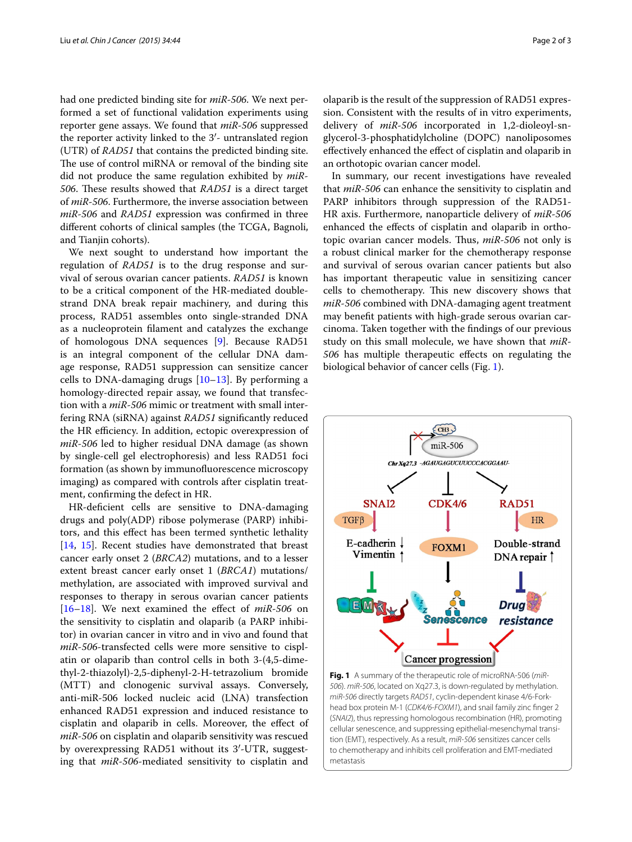had one predicted binding site for *miR*-*506*. We next performed a set of functional validation experiments using reporter gene assays. We found that *miR*-*506* suppressed the reporter activity linked to the 3′- untranslated region (UTR) of *RAD51* that contains the predicted binding site. The use of control miRNA or removal of the binding site did not produce the same regulation exhibited by *miR*-*506*. These results showed that *RAD51* is a direct target of *miR*-*506*. Furthermore, the inverse association between *miR*-*506* and *RAD51* expression was confirmed in three different cohorts of clinical samples (the TCGA, Bagnoli, and Tianjin cohorts).

We next sought to understand how important the regulation of *RAD51* is to the drug response and survival of serous ovarian cancer patients. *RAD51* is known to be a critical component of the HR-mediated doublestrand DNA break repair machinery, and during this process, RAD51 assembles onto single-stranded DNA as a nucleoprotein filament and catalyzes the exchange of homologous DNA sequences [[9\]](#page-2-7). Because RAD51 is an integral component of the cellular DNA damage response, RAD51 suppression can sensitize cancer cells to DNA-damaging drugs  $[10-13]$  $[10-13]$  $[10-13]$ . By performing a homology-directed repair assay, we found that transfection with a *miR*-*506* mimic or treatment with small interfering RNA (siRNA) against *RAD51* significantly reduced the HR efficiency. In addition, ectopic overexpression of *miR*-*506* led to higher residual DNA damage (as shown by single-cell gel electrophoresis) and less RAD51 foci formation (as shown by immunofluorescence microscopy imaging**)** as compared with controls after cisplatin treatment, confirming the defect in HR.

HR-deficient cells are sensitive to DNA-damaging drugs and poly(ADP) ribose polymerase (PARP) inhibitors, and this effect has been termed synthetic lethality [[14,](#page-2-10) [15](#page-2-11)]. Recent studies have demonstrated that breast cancer early onset 2 (*BRCA2*) mutations, and to a lesser extent breast cancer early onset 1 (*BRCA1*) mutations/ methylation, are associated with improved survival and responses to therapy in serous ovarian cancer patients [[16–](#page-2-12)[18](#page-2-13)]. We next examined the effect of *miR*-*506* on the sensitivity to cisplatin and olaparib (a PARP inhibitor) in ovarian cancer in vitro and in vivo and found that *miR*-*506*-transfected cells were more sensitive to cisplatin or olaparib than control cells in both 3-(4,5-dimethyl-2-thiazolyl)-2,5-diphenyl-2-H-tetrazolium bromide (MTT) and clonogenic survival assays. Conversely, anti-miR-506 locked nucleic acid (LNA) transfection enhanced RAD51 expression and induced resistance to cisplatin and olaparib in cells. Moreover, the effect of *miR*-*506* on cisplatin and olaparib sensitivity was rescued by overexpressing RAD51 without its 3′-UTR, suggesting that *miR*-*506*-mediated sensitivity to cisplatin and olaparib is the result of the suppression of RAD51 expression. Consistent with the results of in vitro experiments, delivery of *miR*-*506* incorporated in 1,2-dioleoyl-snglycerol-3-phosphatidylcholine (DOPC) nanoliposomes effectively enhanced the effect of cisplatin and olaparib in an orthotopic ovarian cancer model.

In summary, our recent investigations have revealed that *miR*-*506* can enhance the sensitivity to cisplatin and PARP inhibitors through suppression of the RAD51- HR axis. Furthermore, nanoparticle delivery of *miR*-*506* enhanced the effects of cisplatin and olaparib in orthotopic ovarian cancer models. Thus, *miR*-*506* not only is a robust clinical marker for the chemotherapy response and survival of serous ovarian cancer patients but also has important therapeutic value in sensitizing cancer cells to chemotherapy. This new discovery shows that *miR*-*506* combined with DNA-damaging agent treatment may benefit patients with high-grade serous ovarian carcinoma. Taken together with the findings of our previous study on this small molecule, we have shown that *miR*-*506* has multiple therapeutic effects on regulating the biological behavior of cancer cells (Fig. [1](#page-1-0)).



<span id="page-1-0"></span>**Fig. 1** A summary of the therapeutic role of microRNA-506 (*miR*-*506*). *miR*-*506*, located on Xq27.3, is down-regulated by methylation. *miR*-*506* directly targets *RAD51*, cyclin-dependent kinase 4/6-Forkhead box protein M-1 (*CDK4/6*-*FOXM1*), and snail family zinc finger 2 (*SNAI2*), thus repressing homologous recombination (HR), promoting cellular senescence, and suppressing epithelial-mesenchymal transition (EMT), respectively. As a result, *miR*-*506* sensitizes cancer cells to chemotherapy and inhibits cell proliferation and EMT-mediated metastasis